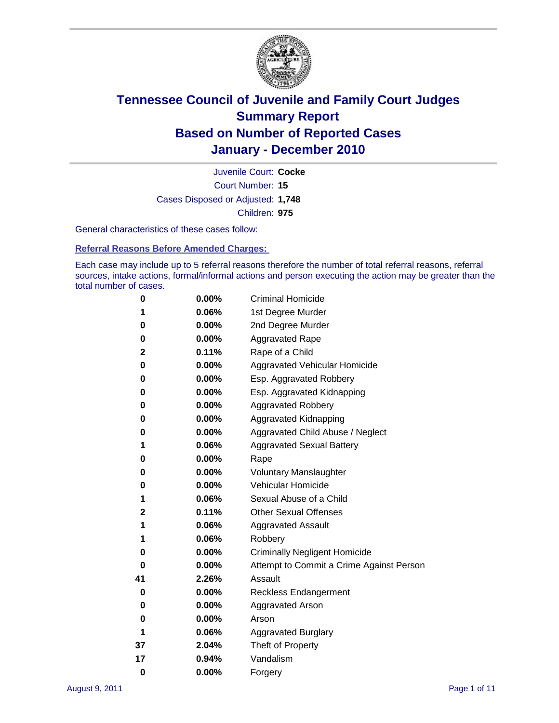

Court Number: **15** Juvenile Court: **Cocke** Cases Disposed or Adjusted: **1,748** Children: **975**

General characteristics of these cases follow:

**Referral Reasons Before Amended Charges:** 

Each case may include up to 5 referral reasons therefore the number of total referral reasons, referral sources, intake actions, formal/informal actions and person executing the action may be greater than the total number of cases.

| 0  | 0.00% | <b>Criminal Homicide</b>                 |
|----|-------|------------------------------------------|
| 1  | 0.06% | 1st Degree Murder                        |
| 0  | 0.00% | 2nd Degree Murder                        |
| 0  | 0.00% | <b>Aggravated Rape</b>                   |
| 2  | 0.11% | Rape of a Child                          |
| 0  | 0.00% | Aggravated Vehicular Homicide            |
| 0  | 0.00% | Esp. Aggravated Robbery                  |
| 0  | 0.00% | Esp. Aggravated Kidnapping               |
| 0  | 0.00% | <b>Aggravated Robbery</b>                |
| 0  | 0.00% | Aggravated Kidnapping                    |
| 0  | 0.00% | Aggravated Child Abuse / Neglect         |
| 1  | 0.06% | <b>Aggravated Sexual Battery</b>         |
| 0  | 0.00% | Rape                                     |
| 0  | 0.00% | <b>Voluntary Manslaughter</b>            |
| 0  | 0.00% | Vehicular Homicide                       |
| 1  | 0.06% | Sexual Abuse of a Child                  |
| 2  | 0.11% | <b>Other Sexual Offenses</b>             |
| 1  | 0.06% | <b>Aggravated Assault</b>                |
| 1  | 0.06% | Robbery                                  |
| 0  | 0.00% | <b>Criminally Negligent Homicide</b>     |
| 0  | 0.00% | Attempt to Commit a Crime Against Person |
| 41 | 2.26% | Assault                                  |
| 0  | 0.00% | <b>Reckless Endangerment</b>             |
| 0  | 0.00% | <b>Aggravated Arson</b>                  |
| 0  | 0.00% | Arson                                    |
| 1  | 0.06% | <b>Aggravated Burglary</b>               |
| 37 | 2.04% | Theft of Property                        |
| 17 | 0.94% | Vandalism                                |
| 0  | 0.00% | Forgery                                  |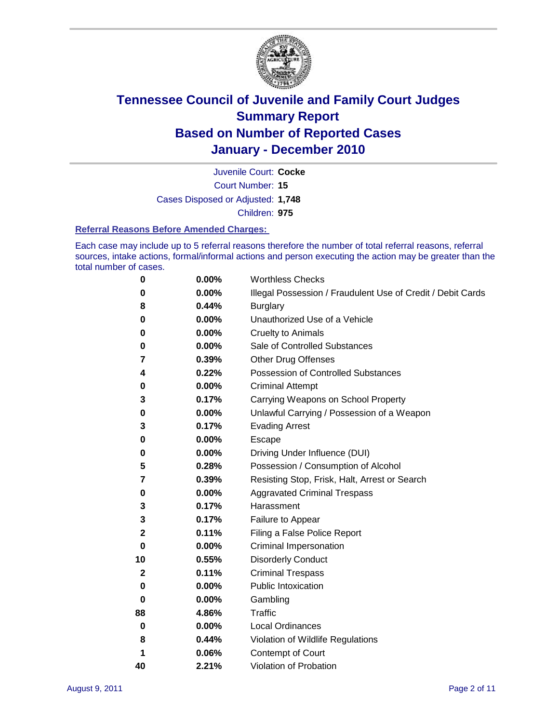

Court Number: **15** Juvenile Court: **Cocke** Cases Disposed or Adjusted: **1,748** Children: **975**

#### **Referral Reasons Before Amended Charges:**

Each case may include up to 5 referral reasons therefore the number of total referral reasons, referral sources, intake actions, formal/informal actions and person executing the action may be greater than the total number of cases.

| 0  | 0.00% | <b>Worthless Checks</b>                                     |
|----|-------|-------------------------------------------------------------|
| 0  | 0.00% | Illegal Possession / Fraudulent Use of Credit / Debit Cards |
| 8  | 0.44% | <b>Burglary</b>                                             |
| 0  | 0.00% | Unauthorized Use of a Vehicle                               |
| 0  | 0.00% | <b>Cruelty to Animals</b>                                   |
| 0  | 0.00% | Sale of Controlled Substances                               |
| 7  | 0.39% | <b>Other Drug Offenses</b>                                  |
| 4  | 0.22% | <b>Possession of Controlled Substances</b>                  |
| 0  | 0.00% | <b>Criminal Attempt</b>                                     |
| 3  | 0.17% | Carrying Weapons on School Property                         |
| 0  | 0.00% | Unlawful Carrying / Possession of a Weapon                  |
| 3  | 0.17% | <b>Evading Arrest</b>                                       |
| 0  | 0.00% | Escape                                                      |
| 0  | 0.00% | Driving Under Influence (DUI)                               |
| 5  | 0.28% | Possession / Consumption of Alcohol                         |
| 7  | 0.39% | Resisting Stop, Frisk, Halt, Arrest or Search               |
| 0  | 0.00% | <b>Aggravated Criminal Trespass</b>                         |
| 3  | 0.17% | Harassment                                                  |
| 3  | 0.17% | Failure to Appear                                           |
| 2  | 0.11% | Filing a False Police Report                                |
| 0  | 0.00% | Criminal Impersonation                                      |
| 10 | 0.55% | <b>Disorderly Conduct</b>                                   |
| 2  | 0.11% | <b>Criminal Trespass</b>                                    |
| 0  | 0.00% | <b>Public Intoxication</b>                                  |
| 0  | 0.00% | Gambling                                                    |
| 88 | 4.86% | <b>Traffic</b>                                              |
| 0  | 0.00% | <b>Local Ordinances</b>                                     |
| 8  | 0.44% | Violation of Wildlife Regulations                           |
| 1  | 0.06% | Contempt of Court                                           |
| 40 | 2.21% | Violation of Probation                                      |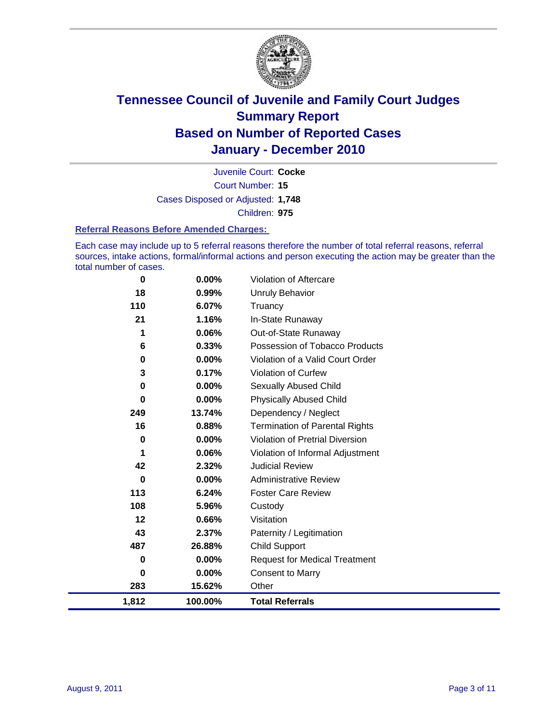

Court Number: **15** Juvenile Court: **Cocke** Cases Disposed or Adjusted: **1,748** Children: **975**

#### **Referral Reasons Before Amended Charges:**

Each case may include up to 5 referral reasons therefore the number of total referral reasons, referral sources, intake actions, formal/informal actions and person executing the action may be greater than the total number of cases.

| 0           | 0.00%    | Violation of Aftercare                 |
|-------------|----------|----------------------------------------|
| 18          | 0.99%    | <b>Unruly Behavior</b>                 |
| 110         | 6.07%    | Truancy                                |
| 21          | 1.16%    | In-State Runaway                       |
| 1           | 0.06%    | Out-of-State Runaway                   |
| 6           | 0.33%    | Possession of Tobacco Products         |
| 0           | $0.00\%$ | Violation of a Valid Court Order       |
| 3           | 0.17%    | Violation of Curfew                    |
| 0           | $0.00\%$ | Sexually Abused Child                  |
| $\mathbf 0$ | 0.00%    | <b>Physically Abused Child</b>         |
| 249         | 13.74%   | Dependency / Neglect                   |
| 16          | 0.88%    | <b>Termination of Parental Rights</b>  |
| $\pmb{0}$   | 0.00%    | <b>Violation of Pretrial Diversion</b> |
| 1           | 0.06%    | Violation of Informal Adjustment       |
| 42          | 2.32%    | <b>Judicial Review</b>                 |
| 0           | $0.00\%$ | <b>Administrative Review</b>           |
| 113         | 6.24%    | <b>Foster Care Review</b>              |
| 108         | 5.96%    | Custody                                |
| 12          | 0.66%    | Visitation                             |
| 43          | 2.37%    | Paternity / Legitimation               |
| 487         | 26.88%   | <b>Child Support</b>                   |
| 0           | $0.00\%$ | <b>Request for Medical Treatment</b>   |
| 0           | $0.00\%$ | <b>Consent to Marry</b>                |
| 283         | 15.62%   | Other                                  |
| 1,812       | 100.00%  | <b>Total Referrals</b>                 |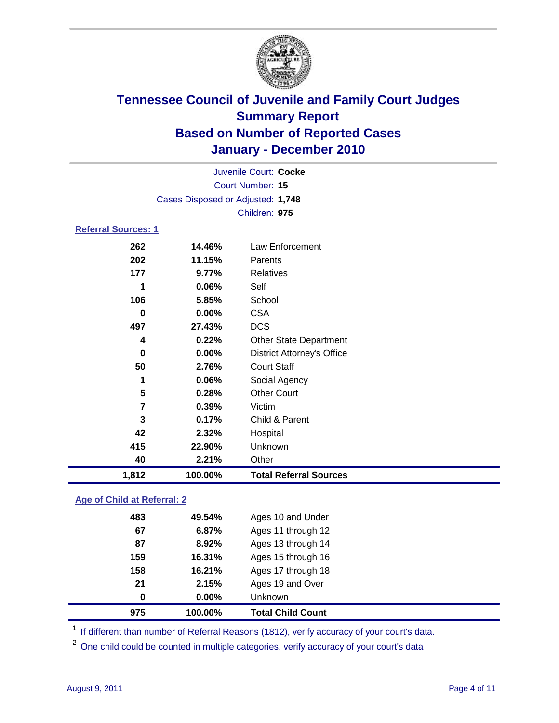

|                            | Juvenile Court: Cocke             |                                   |  |  |  |
|----------------------------|-----------------------------------|-----------------------------------|--|--|--|
|                            | Court Number: 15                  |                                   |  |  |  |
|                            | Cases Disposed or Adjusted: 1,748 |                                   |  |  |  |
|                            | Children: 975                     |                                   |  |  |  |
| <b>Referral Sources: 1</b> |                                   |                                   |  |  |  |
| 262                        | 14.46%                            | Law Enforcement                   |  |  |  |
| 202                        | 11.15%                            | Parents                           |  |  |  |
| 177                        | 9.77%                             | <b>Relatives</b>                  |  |  |  |
| 1                          | 0.06%                             | Self                              |  |  |  |
| 106                        | 5.85%                             | School                            |  |  |  |
| 0                          | 0.00%                             | <b>CSA</b>                        |  |  |  |
| 497                        | 27.43%                            | <b>DCS</b>                        |  |  |  |
| 4                          | 0.22%                             | <b>Other State Department</b>     |  |  |  |
| 0                          | 0.00%                             | <b>District Attorney's Office</b> |  |  |  |
| 50                         | 2.76%                             | <b>Court Staff</b>                |  |  |  |
| 1                          | 0.06%                             | Social Agency                     |  |  |  |
| 5                          | 0.28%                             | <b>Other Court</b>                |  |  |  |
| 7                          | 0.39%                             | Victim                            |  |  |  |
| 3                          | 0.17%                             | Child & Parent                    |  |  |  |
| 42                         | 2.32%                             | Hospital                          |  |  |  |
| 415                        | 22.90%                            | Unknown                           |  |  |  |
| 40                         | 2.21%                             | Other                             |  |  |  |
| 1,812                      | 100.00%                           | <b>Total Referral Sources</b>     |  |  |  |

### **Age of Child at Referral: 2**

| 0   | 0.00%  | Unknown            |
|-----|--------|--------------------|
|     |        |                    |
| 21  | 2.15%  | Ages 19 and Over   |
| 158 | 16.21% | Ages 17 through 18 |
| 159 | 16.31% | Ages 15 through 16 |
| 87  | 8.92%  | Ages 13 through 14 |
| 67  | 6.87%  | Ages 11 through 12 |
| 483 | 49.54% | Ages 10 and Under  |
|     |        |                    |

<sup>1</sup> If different than number of Referral Reasons (1812), verify accuracy of your court's data.

<sup>2</sup> One child could be counted in multiple categories, verify accuracy of your court's data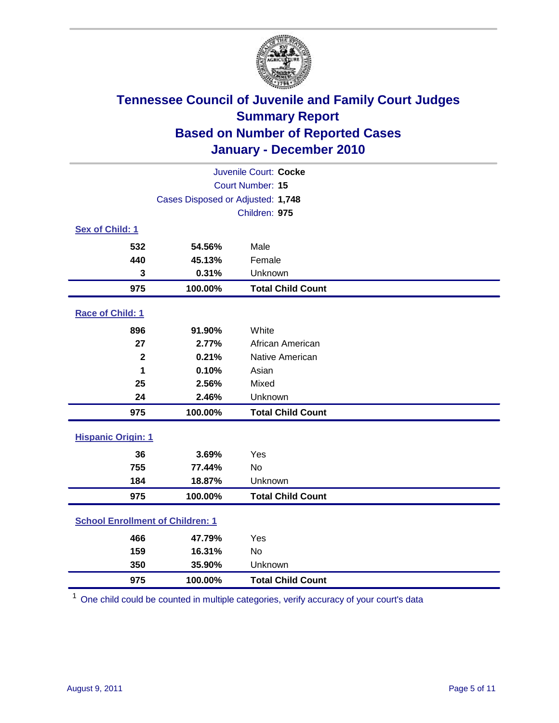

| Juvenile Court: Cocke                   |                                   |                          |  |  |
|-----------------------------------------|-----------------------------------|--------------------------|--|--|
|                                         | Court Number: 15                  |                          |  |  |
|                                         | Cases Disposed or Adjusted: 1,748 |                          |  |  |
|                                         |                                   | Children: 975            |  |  |
| Sex of Child: 1                         |                                   |                          |  |  |
| 532                                     | 54.56%                            | Male                     |  |  |
| 440                                     | 45.13%                            | Female                   |  |  |
| 3                                       | 0.31%                             | Unknown                  |  |  |
| 975                                     | 100.00%                           | <b>Total Child Count</b> |  |  |
| Race of Child: 1                        |                                   |                          |  |  |
| 896                                     | 91.90%                            | White                    |  |  |
| 27                                      | 2.77%                             | African American         |  |  |
| $\mathbf{2}$                            | 0.21%                             | Native American          |  |  |
| 1                                       | 0.10%                             | Asian                    |  |  |
| 25                                      | 2.56%                             | Mixed                    |  |  |
| 24                                      | 2.46%                             | Unknown                  |  |  |
| 975                                     | 100.00%                           | <b>Total Child Count</b> |  |  |
| <b>Hispanic Origin: 1</b>               |                                   |                          |  |  |
| 36                                      | 3.69%                             | Yes                      |  |  |
| 755                                     | 77.44%                            | <b>No</b>                |  |  |
| 184                                     | 18.87%                            | Unknown                  |  |  |
| 975                                     | 100.00%                           | <b>Total Child Count</b> |  |  |
| <b>School Enrollment of Children: 1</b> |                                   |                          |  |  |
| 466                                     | 47.79%                            | Yes                      |  |  |
| 159                                     | 16.31%                            | No                       |  |  |
| 350                                     | 35.90%                            | Unknown                  |  |  |
| 975                                     | 100.00%                           | <b>Total Child Count</b> |  |  |

One child could be counted in multiple categories, verify accuracy of your court's data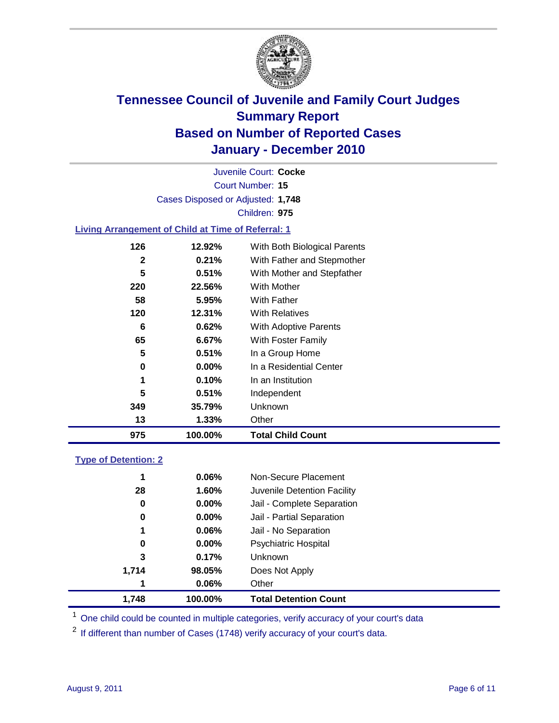

Court Number: **15** Juvenile Court: **Cocke** Cases Disposed or Adjusted: **1,748** Children: **975**

### **Living Arrangement of Child at Time of Referral: 1**

| 975 | 100.00%  | <b>Total Child Count</b>     |
|-----|----------|------------------------------|
| 13  | 1.33%    | Other                        |
| 349 | 35.79%   | Unknown                      |
| 5   | 0.51%    | Independent                  |
| 1   | 0.10%    | In an Institution            |
| 0   | $0.00\%$ | In a Residential Center      |
| 5   | 0.51%    | In a Group Home              |
| 65  | 6.67%    | With Foster Family           |
| 6   | 0.62%    | With Adoptive Parents        |
| 120 | 12.31%   | <b>With Relatives</b>        |
| 58  | 5.95%    | <b>With Father</b>           |
| 220 | 22.56%   | <b>With Mother</b>           |
| 5   | 0.51%    | With Mother and Stepfather   |
| 2   | 0.21%    | With Father and Stepmother   |
| 126 | 12.92%   | With Both Biological Parents |
|     |          |                              |

### **Type of Detention: 2**

| 1.748 | 100.00%  | <b>Total Detention Count</b> |
|-------|----------|------------------------------|
| 1     | 0.06%    | Other                        |
| 1,714 | 98.05%   | Does Not Apply               |
| 3     | 0.17%    | <b>Unknown</b>               |
| 0     | $0.00\%$ | <b>Psychiatric Hospital</b>  |
| 1     | 0.06%    | Jail - No Separation         |
| 0     | $0.00\%$ | Jail - Partial Separation    |
| 0     | 0.00%    | Jail - Complete Separation   |
| 28    | 1.60%    | Juvenile Detention Facility  |
| 1     | 0.06%    | Non-Secure Placement         |
|       |          |                              |

<sup>1</sup> One child could be counted in multiple categories, verify accuracy of your court's data

<sup>2</sup> If different than number of Cases (1748) verify accuracy of your court's data.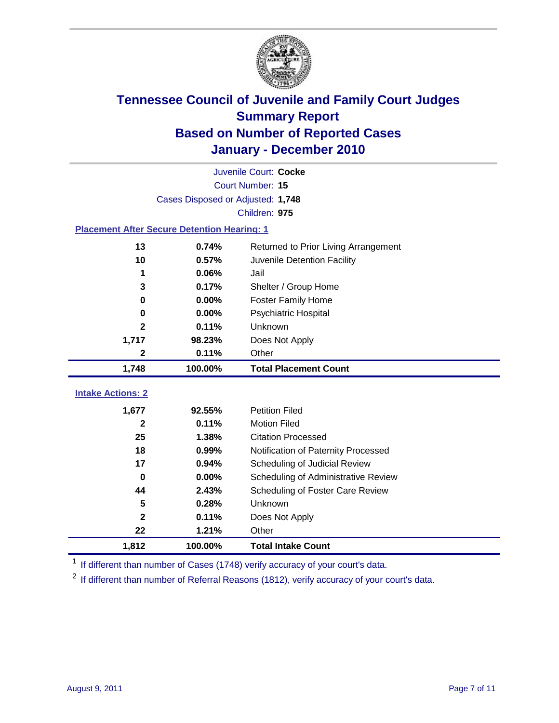

|                                                    | Juvenile Court: Cocke<br>Court Number: 15 |                                      |  |  |  |
|----------------------------------------------------|-------------------------------------------|--------------------------------------|--|--|--|
|                                                    |                                           |                                      |  |  |  |
|                                                    | Cases Disposed or Adjusted: 1,748         |                                      |  |  |  |
|                                                    |                                           | Children: 975                        |  |  |  |
| <b>Placement After Secure Detention Hearing: 1</b> |                                           |                                      |  |  |  |
| 13                                                 | 0.74%                                     | Returned to Prior Living Arrangement |  |  |  |
| 10                                                 | 0.57%                                     | Juvenile Detention Facility          |  |  |  |
| 1                                                  | 0.06%                                     | Jail                                 |  |  |  |
| 3                                                  | 0.17%                                     | Shelter / Group Home                 |  |  |  |
| $\mathbf 0$                                        | 0.00%                                     | <b>Foster Family Home</b>            |  |  |  |
| $\bf{0}$                                           | 0.00%                                     | Psychiatric Hospital                 |  |  |  |
| 2                                                  | 0.11%                                     | Unknown                              |  |  |  |
| 1,717                                              | 98.23%                                    | Does Not Apply                       |  |  |  |
| 2                                                  | 0.11%                                     | Other                                |  |  |  |
| 1,748                                              | 100.00%                                   | <b>Total Placement Count</b>         |  |  |  |
|                                                    |                                           |                                      |  |  |  |
| <b>Intake Actions: 2</b>                           |                                           |                                      |  |  |  |
| 1,677                                              | 92.55%                                    | <b>Petition Filed</b>                |  |  |  |
| 2                                                  | 0.11%                                     | <b>Motion Filed</b>                  |  |  |  |
| 25                                                 | 1.38%                                     | <b>Citation Processed</b>            |  |  |  |
| 18                                                 | 0.99%                                     | Notification of Paternity Processed  |  |  |  |
| 17                                                 | 0.94%                                     | Scheduling of Judicial Review        |  |  |  |
| $\bf{0}$                                           | 0.00%                                     | Scheduling of Administrative Review  |  |  |  |
| 44                                                 | 2.43%                                     | Scheduling of Foster Care Review     |  |  |  |
| 5                                                  | 0.28%                                     | Unknown                              |  |  |  |
| $\overline{\mathbf{2}}$                            | 0.11%                                     | Does Not Apply                       |  |  |  |
| 22                                                 | 1.21%                                     | Other                                |  |  |  |
| 1,812                                              | 100.00%                                   | <b>Total Intake Count</b>            |  |  |  |

<sup>1</sup> If different than number of Cases (1748) verify accuracy of your court's data.

<sup>2</sup> If different than number of Referral Reasons (1812), verify accuracy of your court's data.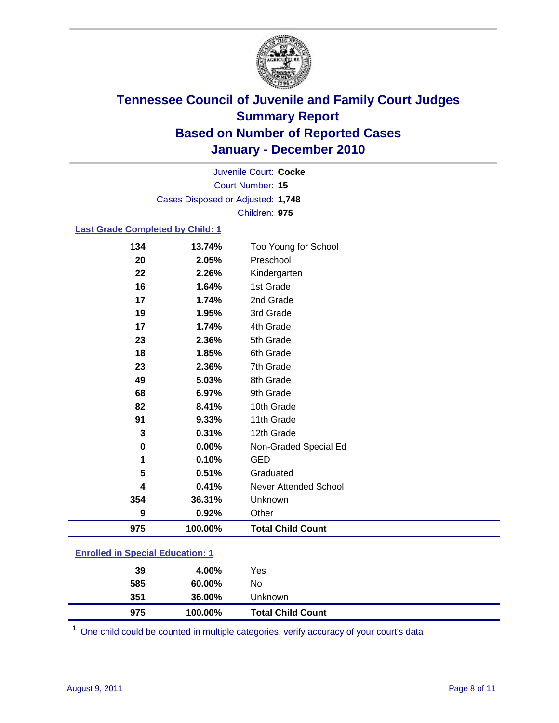

Court Number: **15** Juvenile Court: **Cocke** Cases Disposed or Adjusted: **1,748** Children: **975**

### **Last Grade Completed by Child: 1**

| 975 | 100.00% | <b>Total Child Count</b>     |
|-----|---------|------------------------------|
| 9   | 0.92%   | Other                        |
| 354 | 36.31%  | Unknown                      |
| 4   | 0.41%   | <b>Never Attended School</b> |
| 5   | 0.51%   | Graduated                    |
| 1   | 0.10%   | <b>GED</b>                   |
| 0   | 0.00%   | Non-Graded Special Ed        |
| 3   | 0.31%   | 12th Grade                   |
| 91  | 9.33%   | 11th Grade                   |
| 82  | 8.41%   | 10th Grade                   |
| 68  | 6.97%   | 9th Grade                    |
| 49  | 5.03%   | 8th Grade                    |
| 23  | 2.36%   | 7th Grade                    |
| 18  | 1.85%   | 6th Grade                    |
| 23  | 2.36%   | 5th Grade                    |
| 17  | 1.74%   | 4th Grade                    |
| 19  | 1.95%   | 3rd Grade                    |
| 17  | 1.74%   | 2nd Grade                    |
| 16  | 1.64%   | 1st Grade                    |
| 22  | 2.26%   | Kindergarten                 |
| 20  | 2.05%   | Preschool                    |
| 134 | 13.74%  | Too Young for School         |

### **Enrolled in Special Education: 1**

| 39  | 4.00%   | Yes                      |
|-----|---------|--------------------------|
| 585 | 60.00%  | No                       |
| 351 | 36.00%  | Unknown                  |
| 975 | 100.00% | <b>Total Child Count</b> |

One child could be counted in multiple categories, verify accuracy of your court's data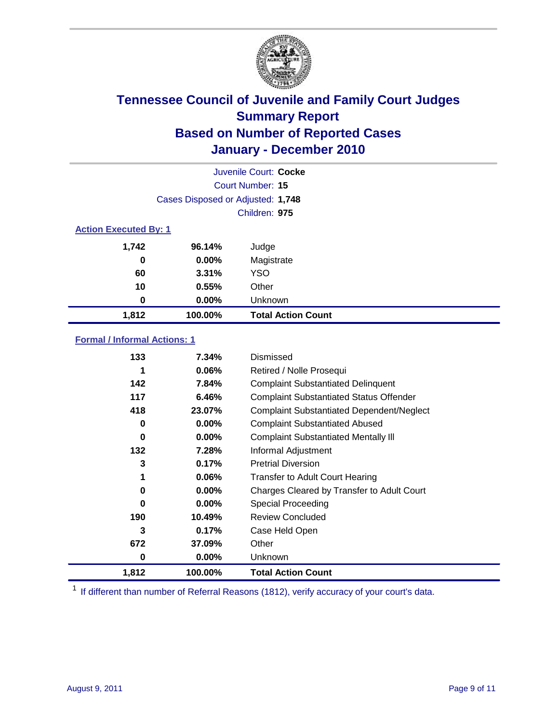

|       | Juvenile Court: Cocke             |                           |  |  |
|-------|-----------------------------------|---------------------------|--|--|
|       | Court Number: 15                  |                           |  |  |
|       | Cases Disposed or Adjusted: 1,748 |                           |  |  |
|       | Children: 975                     |                           |  |  |
|       | <b>Action Executed By: 1</b>      |                           |  |  |
| 1,742 | 96.14%                            | Judge                     |  |  |
| 0     | $0.00\%$                          | Magistrate                |  |  |
| 60    | 3.31%                             | <b>YSO</b>                |  |  |
| 10    | 0.55%                             | Other                     |  |  |
| 0     | 0.00%                             | Unknown                   |  |  |
| 1,812 | 100.00%                           | <b>Total Action Count</b> |  |  |

### **Formal / Informal Actions: 1**

| 133   | 7.34%    | Dismissed                                        |
|-------|----------|--------------------------------------------------|
|       | $0.06\%$ | Retired / Nolle Prosequi                         |
| 142   | 7.84%    | <b>Complaint Substantiated Delinquent</b>        |
| 117   | 6.46%    | <b>Complaint Substantiated Status Offender</b>   |
| 418   | 23.07%   | <b>Complaint Substantiated Dependent/Neglect</b> |
| 0     | $0.00\%$ | <b>Complaint Substantiated Abused</b>            |
| 0     | $0.00\%$ | <b>Complaint Substantiated Mentally III</b>      |
| 132   | 7.28%    | Informal Adjustment                              |
| 3     | 0.17%    | <b>Pretrial Diversion</b>                        |
| 1     | $0.06\%$ | <b>Transfer to Adult Court Hearing</b>           |
| 0     | $0.00\%$ | Charges Cleared by Transfer to Adult Court       |
| 0     | $0.00\%$ | Special Proceeding                               |
| 190   | 10.49%   | <b>Review Concluded</b>                          |
| 3     | 0.17%    | Case Held Open                                   |
| 672   | 37.09%   | Other                                            |
| 0     | $0.00\%$ | <b>Unknown</b>                                   |
| 1,812 | 100.00%  | <b>Total Action Count</b>                        |

<sup>1</sup> If different than number of Referral Reasons (1812), verify accuracy of your court's data.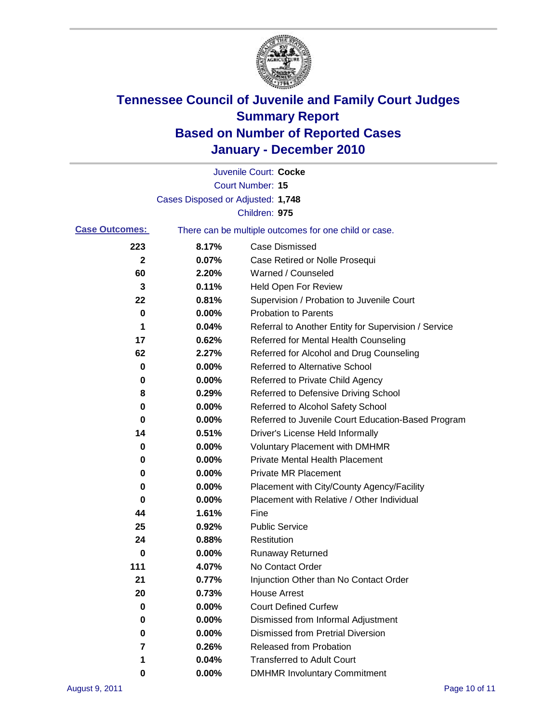

|                       |                                   | Juvenile Court: Cocke                                 |
|-----------------------|-----------------------------------|-------------------------------------------------------|
|                       |                                   | <b>Court Number: 15</b>                               |
|                       | Cases Disposed or Adjusted: 1,748 |                                                       |
|                       |                                   | Children: 975                                         |
| <b>Case Outcomes:</b> |                                   | There can be multiple outcomes for one child or case. |
| 223                   | 8.17%                             | <b>Case Dismissed</b>                                 |
| $\mathbf{2}$          | 0.07%                             | Case Retired or Nolle Prosequi                        |
| 60                    | 2.20%                             | Warned / Counseled                                    |
| 3                     | 0.11%                             | <b>Held Open For Review</b>                           |
| 22                    | 0.81%                             | Supervision / Probation to Juvenile Court             |
| 0                     | 0.00%                             | <b>Probation to Parents</b>                           |
| 1                     | 0.04%                             | Referral to Another Entity for Supervision / Service  |
| 17                    | 0.62%                             | Referred for Mental Health Counseling                 |
| 62                    | 2.27%                             | Referred for Alcohol and Drug Counseling              |
| 0                     | 0.00%                             | <b>Referred to Alternative School</b>                 |
| 0                     | 0.00%                             | Referred to Private Child Agency                      |
| 8                     | 0.29%                             | Referred to Defensive Driving School                  |
| 0                     | 0.00%                             | Referred to Alcohol Safety School                     |
| 0                     | 0.00%                             | Referred to Juvenile Court Education-Based Program    |
| 14                    | 0.51%                             | Driver's License Held Informally                      |
| 0                     | 0.00%                             | <b>Voluntary Placement with DMHMR</b>                 |
| 0                     | 0.00%                             | <b>Private Mental Health Placement</b>                |
| 0                     | 0.00%                             | <b>Private MR Placement</b>                           |
| 0                     | 0.00%                             | Placement with City/County Agency/Facility            |
| 0                     | 0.00%                             | Placement with Relative / Other Individual            |
| 44                    | 1.61%                             | Fine                                                  |
| 25                    | 0.92%                             | <b>Public Service</b>                                 |
| 24                    | 0.88%                             | Restitution                                           |
| 0                     | 0.00%                             | <b>Runaway Returned</b>                               |
| 111                   | 4.07%                             | No Contact Order                                      |
| <u>21</u>             | $0.77\%$                          | Injunction Other than No Contact Order                |
| 20                    | 0.73%                             | <b>House Arrest</b>                                   |
| 0                     | 0.00%                             | <b>Court Defined Curfew</b>                           |
| 0                     | 0.00%                             | Dismissed from Informal Adjustment                    |
| 0                     | 0.00%                             | <b>Dismissed from Pretrial Diversion</b>              |
| 7                     | 0.26%                             | Released from Probation                               |
| 1                     | 0.04%                             | <b>Transferred to Adult Court</b>                     |
| 0                     | $0.00\%$                          | <b>DMHMR Involuntary Commitment</b>                   |